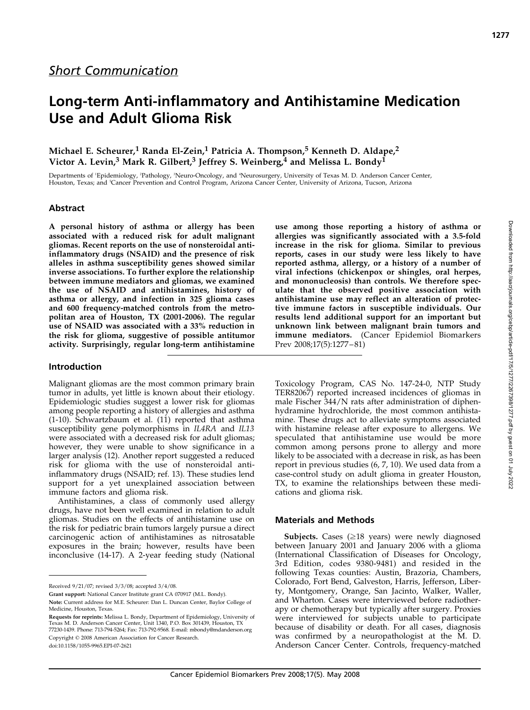# Michael E. Scheurer,<sup>1</sup> Randa El-Zein,<sup>1</sup> Patricia A. Thompson,<sup>5</sup> Kenneth D. Aldape,<sup>2</sup> Victor A. Levin,<sup>3</sup> Mark R. Gilbert,<sup>3</sup> Jeffrey S. Weinberg,<sup>4</sup> and Melissa L. Bondy<sup>1</sup>

Departments of 'Epidemiology, <sup>2</sup>Pathology, <sup>3</sup>Neuro-Oncology, and 'Neurosurgery, University of Texas M. D. Anderson Cancer Center, Houston, Texas; and <sup>5</sup> Cancer Prevention and Control Program, Arizona Cancer Center, University of Arizona, Tucson, Arizona

## Abstract

A personal history of asthma or allergy has been associated with a reduced risk for adult malignant gliomas. Recent reports on the use of nonsteroidal antiinflammatory drugs (NSAID) and the presence of risk alleles in asthma susceptibility genes showed similar inverse associations. To further explore the relationship between immune mediators and gliomas, we examined the use of NSAID and antihistamines, history of asthma or allergy, and infection in 325 glioma cases and 600 frequency-matched controls from the metropolitan area of Houston, TX (2001-2006). The regular use of NSAID was associated with a 33% reduction in the risk for glioma, suggestive of possible antitumor activity. Surprisingly, regular long-term antihistamine

## Introduction

Malignant gliomas are the most common primary brain tumor in adults, yet little is known about their etiology. Epidemiologic studies suggest a lower risk for gliomas among people reporting a history of allergies and asthma (1-10). Schwartzbaum et al. (11) reported that asthma susceptibility gene polymorphisms in IL4RA and IL13 were associated with a decreased risk for adult gliomas; however, they were unable to show significance in a larger analysis (12). Another report suggested a reduced risk for glioma with the use of nonsteroidal antiinflammatory drugs (NSAID; ref. 13). These studies lend support for a yet unexplained association between immune factors and glioma risk.

Antihistamines, a class of commonly used allergy drugs, have not been well examined in relation to adult gliomas. Studies on the effects of antihistamine use on the risk for pediatric brain tumors largely pursue a direct carcinogenic action of antihistamines as nitrosatable exposures in the brain; however, results have been inconclusive (14-17). A 2-year feeding study (National

doi:10.1158/1055-9965.EPI-07-2621

use among those reporting a history of asthma or allergies was significantly associated with a 3.5-fold increase in the risk for glioma. Similar to previous reports, cases in our study were less likely to have reported asthma, allergy, or a history of a number of viral infections (chickenpox or shingles, oral herpes, and mononucleosis) than controls. We therefore speculate that the observed positive association with antihistamine use may reflect an alteration of protective immune factors in susceptible individuals. Our results lend additional support for an important but unknown link between malignant brain tumors and immune mediators. (Cancer Epidemiol Biomarkers Prev 2008;17(5):1277 – 81)

Toxicology Program, CAS No. 147-24-0, NTP Study TER82067) reported increased incidences of gliomas in male Fischer 344/N rats after administration of diphenhydramine hydrochloride, the most common antihistamine. These drugs act to alleviate symptoms associated with histamine release after exposure to allergens. We speculated that antihistamine use would be more common among persons prone to allergy and more likely to be associated with a decrease in risk, as has been report in previous studies (6, 7, 10). We used data from a case-control study on adult glioma in greater Houston, TX, to examine the relationships between these medications and glioma risk.

## Materials and Methods

Subjects. Cases  $(\geq 18$  years) were newly diagnosed between January 2001 and January 2006 with a glioma (International Classification of Diseases for Oncology, 3rd Edition, codes 9380-9481) and resided in the following Texas counties: Austin, Brazoria, Chambers, Colorado, Fort Bend, Galveston, Harris, Jefferson, Liberty, Montgomery, Orange, San Jacinto, Walker, Waller, and Wharton. Cases were interviewed before radiotherapy or chemotherapy but typically after surgery. Proxies were interviewed for subjects unable to participate because of disability or death. For all cases, diagnosis was confirmed by a neuropathologist at the M. D. Anderson Cancer Center. Controls, frequency-matched

Received 9/21/07; revised 3/3/08; accepted 3/4/08.

Grant support: National Cancer Institute grant CA 070917 (M.L. Bondy). Note: Current address for M.E. Scheurer: Dan L. Duncan Center, Baylor College of Medicine, Houston, Texas.

Requests for reprints: Melissa L. Bondy, Department of Epidemiology, University of Texas M. D. Anderson Cancer Center, Unit 1340, P.O. Box 301439, Houston, TX 77230-1439. Phone: 713-794-5264; Fax: 713-792-9568. E-mail: mbondy@mdanderson.org Copyright © 2008 American Association for Cancer Research.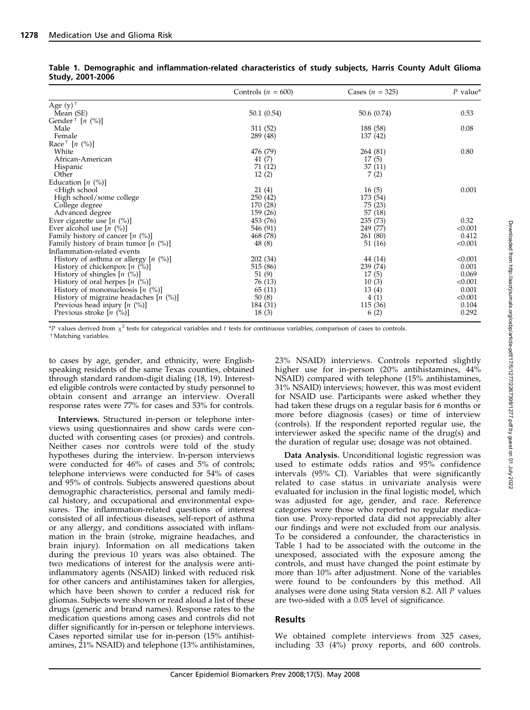|                                                                          | Controls $(n = 600)$ | Cases $(n = 325)$ | $P$ value <sup>*</sup> |
|--------------------------------------------------------------------------|----------------------|-------------------|------------------------|
| Age $(y)$ <sup>+</sup>                                                   |                      |                   |                        |
| Mean (SE)                                                                | 50.1(0.54)           | 50.6 (0.74)       | 0.53                   |
| Gender <sup>†</sup> [ <i>n</i> $(\%)$ ]                                  |                      |                   |                        |
| Male                                                                     | 311 (52)             | 188 (58)          | 0.08                   |
| Female                                                                   | 289 (48)             | 137 (42)          |                        |
| Race $\lceil n \ ( \%) \rceil$                                           |                      |                   |                        |
| White                                                                    | 476 (79)             | 264 (81)          | 0.80                   |
| African-American                                                         | 41(7)                | 17(5)             |                        |
| Hispanic                                                                 | 71 (12)              | 37(11)            |                        |
| Other                                                                    | 12(2)                | 7(2)              |                        |
| Education $[n (%)]$                                                      |                      |                   |                        |
| <high school<="" td=""><td>21(4)</td><td>16(5)</td><td>0.001</td></high> | 21(4)                | 16(5)             | 0.001                  |
| High school/some college                                                 | 250(42)              | 173 (54)          |                        |
| College degree                                                           | 170 (28)             | 75 (23)           |                        |
| Advanced degree                                                          | 159 (26)             | 57(18)            |                        |
| Ever cigarette use $[n \ (\%)]$                                          | 453 (76)             | 235 (73)          | 0.32                   |
| Ever alcohol use $[n \ (\%)]$                                            | 546 (91)             | 249 (77)          | < 0.001                |
| Family history of cancer $[n (%)]$                                       | 468 (78)             | 261 (80)          | 0.412                  |
| Family history of brain tumor $[n (%)]$                                  | 48 (8)               | 51 (16)           | < 0.001                |
| Inflammation-related events                                              |                      |                   |                        |
| History of asthma or allergy $[n \ (\%)]$                                | 202 (34)             | 44 (14)           | < 0.001                |
| History of chickenpox $[n (%)]$                                          | 515 (86)             | 239 (74)          | 0.001                  |
| History of shingles $[n \ (\%)]$                                         | 51 (9)               | 17(5)             | 0.069                  |
| History of oral herpes $[n \ (\%)]$                                      | 76 (13)              | 10(3)             | < 0.001                |
| History of mononucleosis $[n \ (\%)]$                                    | 65 (11)              | 13(4)             | 0.001                  |
| History of migraine headaches $[n \ (\%)]$                               | 50(8)                | 4(1)              | < 0.001                |
| Previous head injury $[n (%)]$                                           | 184 (31)             | 115 (36)          | 0.104                  |
| Previous stroke $[n \ (\%)]$                                             | 18(3)                | 6(2)              | 0.292                  |

|                  | Table 1. Demographic and inflammation-related characteristics of study subjects, Harris County Adult Glioma |  |  |  |  |
|------------------|-------------------------------------------------------------------------------------------------------------|--|--|--|--|
| Study, 2001-2006 |                                                                                                             |  |  |  |  |

\*P values derived from  $\chi^2$  tests for categorical variables and t tests for continuous variables; comparison of cases to controls.

<sup>†</sup> Matching variables.

to cases by age, gender, and ethnicity, were Englishspeaking residents of the same Texas counties, obtained through standard random-digit dialing (18, 19). Interested eligible controls were contacted by study personnel to obtain consent and arrange an interview. Overall response rates were 77% for cases and 53% for controls.

Interviews. Structured in-person or telephone interviews using questionnaires and show cards were conducted with consenting cases (or proxies) and controls. Neither cases nor controls were told of the study hypotheses during the interview. In-person interviews were conducted for 46% of cases and 5% of controls; telephone interviews were conducted for 54% of cases and 95% of controls. Subjects answered questions about demographic characteristics, personal and family medical history, and occupational and environmental exposures. The inflammation-related questions of interest consisted of all infectious diseases, self-report of asthma or any allergy, and conditions associated with inflammation in the brain (stroke, migraine headaches, and brain injury). Information on all medications taken during the previous 10 years was also obtained. The two medications of interest for the analysis were antiinflammatory agents (NSAID) linked with reduced risk for other cancers and antihistamines taken for allergies, which have been shown to confer a reduced risk for gliomas. Subjects were shown or read aloud a list of these drugs (generic and brand names). Response rates to the medication questions among cases and controls did not differ significantly for in-person or telephone interviews. Cases reported similar use for in-person (15% antihistamines, 21% NSAID) and telephone (13% antihistamines, 23% NSAID) interviews. Controls reported slightly higher use for in-person (20% antihistamines, 44% NSAID) compared with telephone (15% antihistamines, 31% NSAID) interviews; however, this was most evident for NSAID use. Participants were asked whether they had taken these drugs on a regular basis for 6 months or more before diagnosis (cases) or time of interview (controls). If the respondent reported regular use, the interviewer asked the specific name of the drug(s) and the duration of regular use; dosage was not obtained.

Data Analysis. Unconditional logistic regression was used to estimate odds ratios and 95% confidence intervals (95% CI). Variables that were significantly related to case status in univariate analysis were evaluated for inclusion in the final logistic model, which was adjusted for age, gender, and race. Reference categories were those who reported no regular medication use. Proxy-reported data did not appreciably alter our findings and were not excluded from our analysis. To be considered a confounder, the characteristics in Table 1 had to be associated with the outcome in the unexposed, associated with the exposure among the controls, and must have changed the point estimate by more than 10% after adjustment. None of the variables were found to be confounders by this method. All analyses were done using Stata version 8.2. All P values are two-sided with a 0.05 level of significance.

## Results

We obtained complete interviews from 325 cases, including 33 (4%) proxy reports, and 600 controls.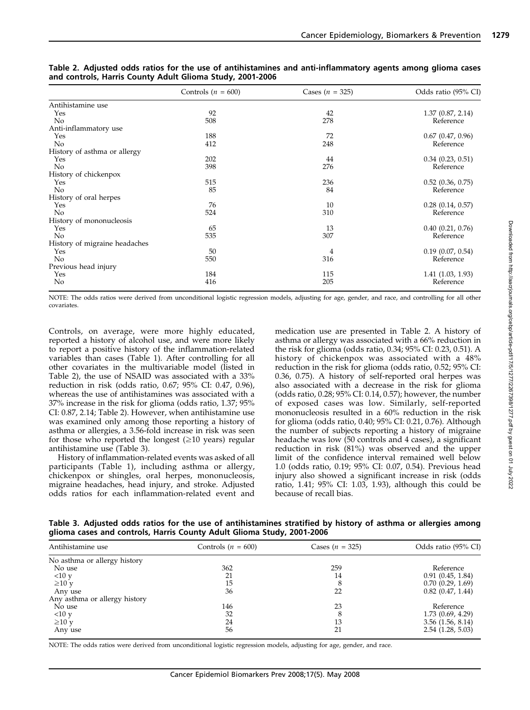|                               | Controls $(n = 600)$ | Cases $(n = 325)$ | Odds ratio (95% CI)   |
|-------------------------------|----------------------|-------------------|-----------------------|
| Antihistamine use             |                      |                   |                       |
| Yes                           | 92                   | 42                | 1.37(0.87, 2.14)      |
| No                            | 508                  | 278               | Reference             |
| Anti-inflammatory use         |                      |                   |                       |
| Yes                           | 188                  | 72                | $0.67$ $(0.47, 0.96)$ |
| No                            | 412                  | 248               | Reference             |
| History of asthma or allergy  |                      |                   |                       |
| Yes                           | 202                  | 44                | 0.34(0.23, 0.51)      |
| No                            | 398                  | 276               | Reference             |
| History of chickenpox         |                      |                   |                       |
| Yes                           | 515                  | 236               | $0.52$ $(0.36, 0.75)$ |
| No                            | 85                   | 84                | Reference             |
| History of oral herpes        |                      |                   |                       |
| Yes                           | 76                   | 10                | $0.28$ $(0.14, 0.57)$ |
| No                            | 524                  | 310               | Reference             |
| History of mononucleosis      |                      |                   |                       |
| Yes                           | 65                   | 13                | $0.40$ $(0.21, 0.76)$ |
| No                            | 535                  | 307               | Reference             |
| History of migraine headaches |                      |                   |                       |
| Yes                           | 50                   | 4                 | $0.19$ $(0.07, 0.54)$ |
| No                            | 550                  | 316               | Reference             |
| Previous head injury          |                      |                   |                       |
| Yes                           | 184                  | 115               | 1.41(1.03, 1.93)      |
| No                            | 416                  | 205               | Reference             |

Table 2. Adjusted odds ratios for the use of antihistamines and anti-inflammatory agents among glioma cases and controls, Harris County Adult Glioma Study, 2001-2006

NOTE: The odds ratios were derived from unconditional logistic regression models, adjusting for age, gender, and race, and controlling for all other covariates.

Controls, on average, were more highly educated, reported a history of alcohol use, and were more likely to report a positive history of the inflammation-related variables than cases (Table 1). After controlling for all other covariates in the multivariable model (listed in Table 2), the use of NSAID was associated with a 33% reduction in risk (odds ratio, 0.67; 95% CI: 0.47, 0.96), whereas the use of antihistamines was associated with a 37% increase in the risk for glioma (odds ratio, 1.37; 95% CI: 0.87, 2.14; Table 2). However, when antihistamine use was examined only among those reporting a history of asthma or allergies, a 3.56-fold increase in risk was seen for those who reported the longest  $(\geq 10 \text{ years})$  regular antihistamine use (Table 3).

History of inflammation-related events was asked of all participants (Table 1), including asthma or allergy, chickenpox or shingles, oral herpes, mononucleosis, migraine headaches, head injury, and stroke. Adjusted odds ratios for each inflammation-related event and

medication use are presented in Table 2. A history of asthma or allergy was associated with a 66% reduction in the risk for glioma (odds ratio, 0.34; 95% CI: 0.23, 0.51). A history of chickenpox was associated with a 48% reduction in the risk for glioma (odds ratio, 0.52; 95% CI: 0.36, 0.75). A history of self-reported oral herpes was also associated with a decrease in the risk for glioma (odds ratio, 0.28; 95% CI: 0.14, 0.57); however, the number of exposed cases was low. Similarly, self-reported mononucleosis resulted in a 60% reduction in the risk for glioma (odds ratio, 0.40; 95% CI: 0.21, 0.76). Although the number of subjects reporting a history of migraine headache was low (50 controls and 4 cases), a significant reduction in risk (81%) was observed and the upper limit of the confidence interval remained well below 1.0 (odds ratio, 0.19; 95% CI: 0.07, 0.54). Previous head injury also showed a significant increase in risk (odds ratio, 1.41; 95% CI: 1.03, 1.93), although this could be because of recall bias.

Table 3. Adjusted odds ratios for the use of antihistamines stratified by history of asthma or allergies among glioma cases and controls, Harris County Adult Glioma Study, 2001-2006

| Antihistamine use             | Controls $(n = 600)$ | Cases $(n = 325)$ | Odds ratio (95% CI)   |  |
|-------------------------------|----------------------|-------------------|-----------------------|--|
| No asthma or allergy history  |                      |                   |                       |  |
| No use                        | 362                  | 259               | Reference             |  |
| <10 y                         | 21                   | 14                | 0.91(0.45, 1.84)      |  |
| $\geq 10$ y                   | 15                   | 8                 | 0.70(0.29, 1.69)      |  |
| Any use                       | 36                   | 22                | $0.82$ $(0.47, 1.44)$ |  |
| Any asthma or allergy history |                      |                   |                       |  |
| No use                        | 146                  | 23                | Reference             |  |
| <10 y                         | 32                   | 8                 | 1.73(0.69, 4.29)      |  |
| $\geq 10$ y                   | 24                   | 13                | $3.56$ $(1.56, 8.14)$ |  |
| Any use                       | 56                   | 21                | $2.54$ (1.28, 5.03)   |  |

NOTE: The odds ratios were derived from unconditional logistic regression models, adjusting for age, gender, and race.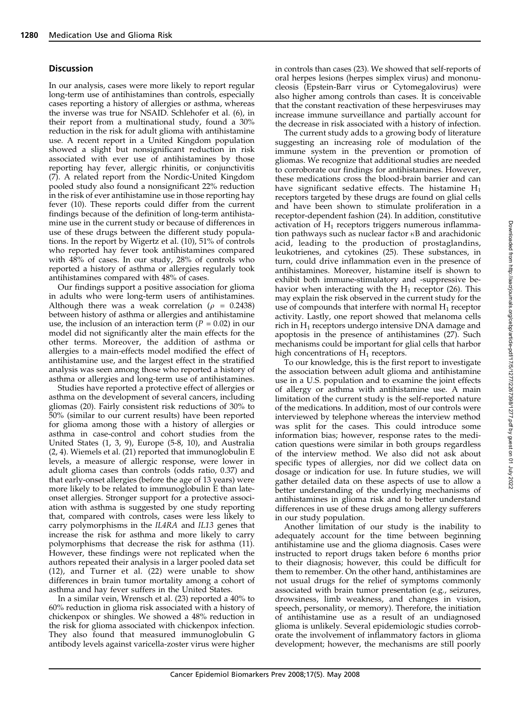# **Discussion**

In our analysis, cases were more likely to report regular long-term use of antihistamines than controls, especially cases reporting a history of allergies or asthma, whereas the inverse was true for NSAID. Schlehofer et al. (6), in their report from a multinational study, found a 30% reduction in the risk for adult glioma with antihistamine use. A recent report in a United Kingdom population showed a slight but nonsignificant reduction in risk associated with ever use of antihistamines by those reporting hay fever, allergic rhinitis, or conjunctivitis (7). A related report from the Nordic-United Kingdom pooled study also found a nonsignificant 22% reduction in the risk of ever antihistamine use in those reporting hay fever (10). These reports could differ from the current findings because of the definition of long-term antihistamine use in the current study or because of differences in use of these drugs between the different study populations. In the report by Wigertz et al. (10), 51% of controls who reported hay fever took antihistamines compared with 48% of cases. In our study, 28% of controls who reported a history of asthma or allergies regularly took antihistamines compared with 48% of cases.

Our findings support a positive association for glioma in adults who were long-term users of antihistamines. Although there was a weak correlation ( $\rho = 0.2438$ ) between history of asthma or allergies and antihistamine use, the inclusion of an interaction term  $(P = 0.02)$  in our model did not significantly alter the main effects for the other terms. Moreover, the addition of asthma or allergies to a main-effects model modified the effect of antihistamine use, and the largest effect in the stratified analysis was seen among those who reported a history of asthma or allergies and long-term use of antihistamines.

Studies have reported a protective effect of allergies or asthma on the development of several cancers, including gliomas (20). Fairly consistent risk reductions of 30% to 50% (similar to our current results) have been reported for glioma among those with a history of allergies or asthma in case-control and cohort studies from the United States (1, 3, 9), Europe (5-8, 10), and Australia (2, 4). Wiemels et al. (21) reported that immunoglobulin E levels, a measure of allergic response, were lower in adult glioma cases than controls (odds ratio, 0.37) and that early-onset allergies (before the age of 13 years) were more likely to be related to immunoglobulin E than lateonset allergies. Stronger support for a protective association with asthma is suggested by one study reporting that, compared with controls, cases were less likely to carry polymorphisms in the IL4RA and IL13 genes that increase the risk for asthma and more likely to carry polymorphisms that decrease the risk for asthma (11). However, these findings were not replicated when the authors repeated their analysis in a larger pooled data set (12), and Turner et al. (22) were unable to show differences in brain tumor mortality among a cohort of asthma and hay fever suffers in the United States.

In a similar vein, Wrensch et al. (23) reported a 40% to 60% reduction in glioma risk associated with a history of chickenpox or shingles. We showed a 48% reduction in the risk for glioma associated with chickenpox infection. They also found that measured immunoglobulin G antibody levels against varicella-zoster virus were higher

The current study adds to a growing body of literature suggesting an increasing role of modulation of the immune system in the prevention or promotion of gliomas. We recognize that additional studies are needed to corroborate our findings for antihistamines. However, these medications cross the blood-brain barrier and can have significant sedative effects. The histamine  $H_1$ receptors targeted by these drugs are found on glial cells and have been shown to stimulate proliferation in a receptor-dependent fashion (24). In addition, constitutive activation of  $H_1$  receptors triggers numerous inflammation pathways such as nuclear factor  $\kappa$ B and arachidonic acid, leading to the production of prostaglandins, leukotrienes, and cytokines (25). These substances, in turn, could drive inflammation even in the presence of antihistamines. Moreover, histamine itself is shown to exhibit both immune-stimulatory and -suppressive behavior when interacting with the  $H_1$  receptor (26). This may explain the risk observed in the current study for the use of compounds that interfere with normal  $H_1$  receptor activity. Lastly, one report showed that melanoma cells rich in  $H_1$  receptors undergo intensive DNA damage and apoptosis in the presence of antihistamines (27). Such mechanisms could be important for glial cells that harbor high concentrations of  $H_1$  receptors.

To our knowledge, this is the first report to investigate the association between adult glioma and antihistamine use in a U.S. population and to examine the joint effects of allergy or asthma with antihistamine use. A main limitation of the current study is the self-reported nature of the medications. In addition, most of our controls were interviewed by telephone whereas the interview method was split for the cases. This could introduce some information bias; however, response rates to the medication questions were similar in both groups regardless of the interview method. We also did not ask about specific types of allergies, nor did we collect data on dosage or indication for use. In future studies, we will gather detailed data on these aspects of use to allow a better understanding of the underlying mechanisms of antihistamines in glioma risk and to better understand differences in use of these drugs among allergy sufferers in our study population.

Another limitation of our study is the inability to adequately account for the time between beginning antihistamine use and the glioma diagnosis. Cases were instructed to report drugs taken before 6 months prior to their diagnosis; however, this could be difficult for them to remember. On the other hand, antihistamines are not usual drugs for the relief of symptoms commonly associated with brain tumor presentation (e.g., seizures, drowsiness, limb weakness, and changes in vision, speech, personality, or memory). Therefore, the initiation of antihistamine use as a result of an undiagnosed glioma is unlikely. Several epidemiologic studies corroborate the involvement of inflammatory factors in glioma development; however, the mechanisms are still poorly